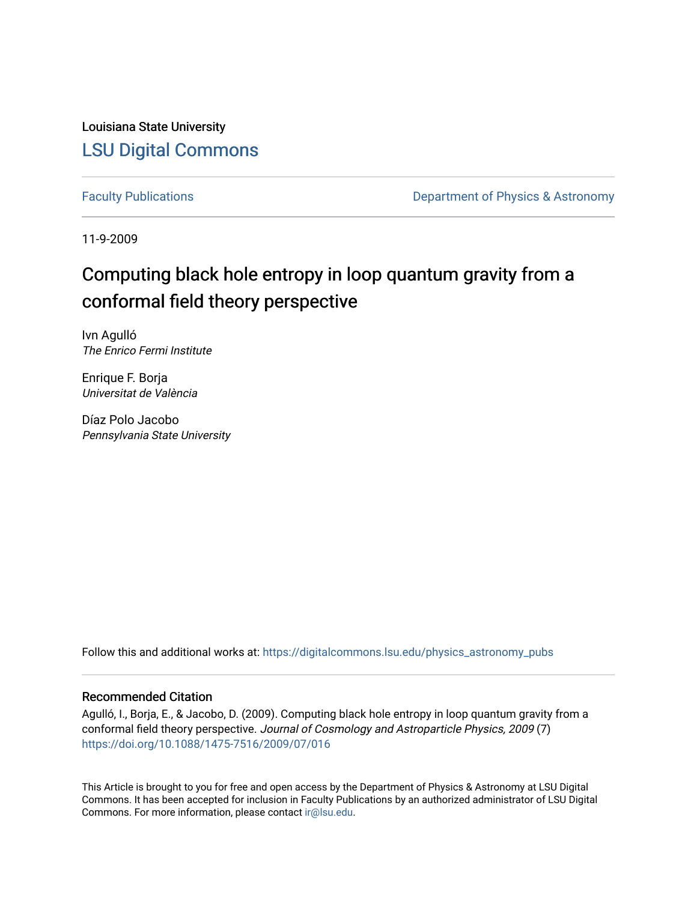Louisiana State University [LSU Digital Commons](https://digitalcommons.lsu.edu/)

[Faculty Publications](https://digitalcommons.lsu.edu/physics_astronomy_pubs) **Exercise 2 and Table 2 and Table 2 and Table 2 and Table 2 and Table 2 and Table 2 and Table 2 and Table 2 and Table 2 and Table 2 and Table 2 and Table 2 and Table 2 and Table 2 and Table 2 and Table** 

11-9-2009

# Computing black hole entropy in loop quantum gravity from a conformal field theory perspective

Ivn Agulló The Enrico Fermi Institute

Enrique F. Borja Universitat de València

Díaz Polo Jacobo Pennsylvania State University

Follow this and additional works at: [https://digitalcommons.lsu.edu/physics\\_astronomy\\_pubs](https://digitalcommons.lsu.edu/physics_astronomy_pubs?utm_source=digitalcommons.lsu.edu%2Fphysics_astronomy_pubs%2F193&utm_medium=PDF&utm_campaign=PDFCoverPages) 

### Recommended Citation

Agulló, I., Borja, E., & Jacobo, D. (2009). Computing black hole entropy in loop quantum gravity from a conformal field theory perspective. Journal of Cosmology and Astroparticle Physics, 2009 (7) <https://doi.org/10.1088/1475-7516/2009/07/016>

This Article is brought to you for free and open access by the Department of Physics & Astronomy at LSU Digital Commons. It has been accepted for inclusion in Faculty Publications by an authorized administrator of LSU Digital Commons. For more information, please contact [ir@lsu.edu](mailto:ir@lsu.edu).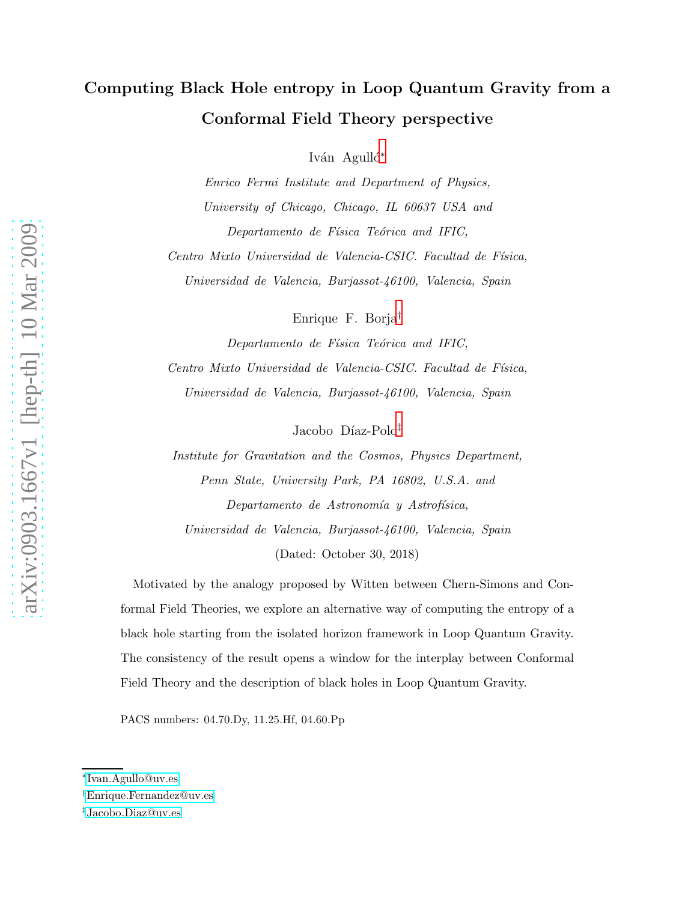## Computing Black Hole entropy in Loop Quantum Gravity from a Conformal Field Theory perspective

Iván Agulló<sup>\*</sup>

Enrico Fermi Institute and Department of Physics, University of Chicago, Chicago, IL 60637 USA and Departamento de Física Teórica and IFIC,

Centro Mixto Universidad de Valencia-CSIC. Facultad de Física, Universidad de Valencia, Burjassot-46100, Valencia, Spain

Enrique F. Borja[†](#page-1-1)

Departamento de Física Teórica and IFIC, Centro Mixto Universidad de Valencia-CSIC. Facultad de Física, Universidad de Valencia, Burjassot-46100, Valencia, Spain

Jacobo Díaz-Polo<sup>[‡](#page-1-2)</sup>

Institute for Gravitation and the Cosmos, Physics Department, Penn State, University Park, PA 16802, U.S.A. and Departamento de Astronomía y Astrofísica, Universidad de Valencia, Burjassot-46100, Valencia, Spain (Dated: October 30, 2018)

Motivated by the analogy proposed by Witten between Chern-Simons and Conformal Field Theories, we explore an alternative way of computing the entropy of a black hole starting from the isolated horizon framework in Loop Quantum Gravity. The consistency of the result opens a window for the interplay between Conformal Field Theory and the description of black holes in Loop Quantum Gravity.

PACS numbers: 04.70.Dy, 11.25.Hf, 04.60.Pp

<span id="page-1-1"></span><span id="page-1-0"></span><sup>∗</sup> [Ivan.Agullo@uv.es](mailto:Ivan.Agullo@uv.es)

<span id="page-1-2"></span><sup>†</sup>[Enrique.Fernandez@uv.es](mailto:Enrique.Fernandez@uv.es)

<sup>‡</sup>[Jacobo.Diaz@uv.es](mailto:Jacobo.Diaz@uv.es)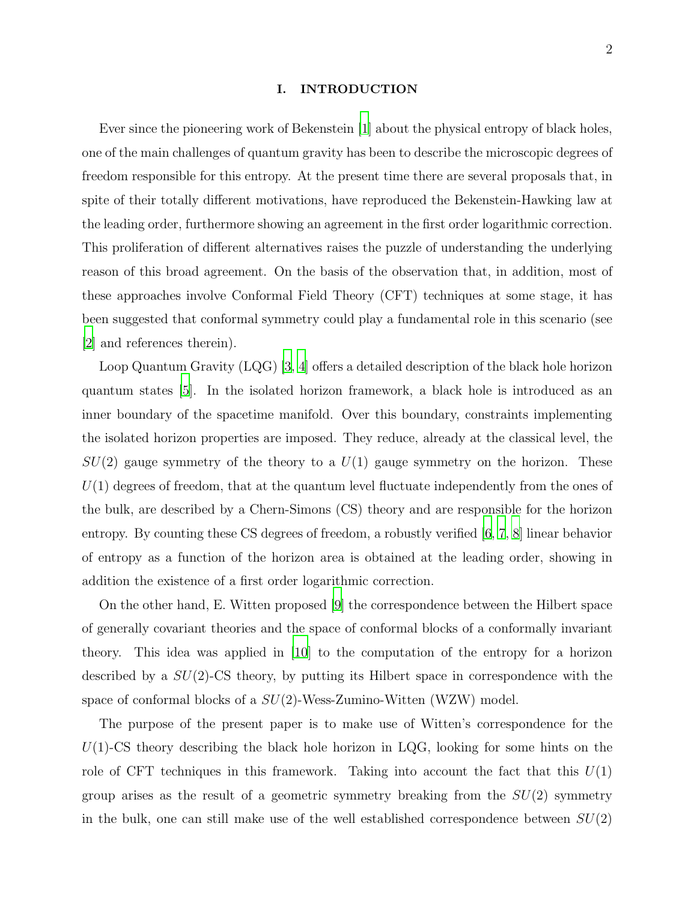#### I. INTRODUCTION

Ever since the pioneering work of Bekenstein [\[1\]](#page-9-0) about the physical entropy of black holes, one of the main challenges of quantum gravity has been to describe the microscopic degrees of freedom responsible for this entropy. At the present time there are several proposals that, in spite of their totally different motivations, have reproduced the Bekenstein-Hawking law at the leading order, furthermore showing an agreement in the first order logarithmic correction. This proliferation of different alternatives raises the puzzle of understanding the underlying reason of this broad agreement. On the basis of the observation that, in addition, most of these approaches involve Conformal Field Theory (CFT) techniques at some stage, it has been suggested that conformal symmetry could play a fundamental role in this scenario (see [\[2](#page-9-1)] and references therein).

Loop Quantum Gravity (LQG) [\[3,](#page-9-2) [4](#page-9-3)] offers a detailed description of the black hole horizon quantum states [\[5](#page-9-4)]. In the isolated horizon framework, a black hole is introduced as an inner boundary of the spacetime manifold. Over this boundary, constraints implementing the isolated horizon properties are imposed. They reduce, already at the classical level, the  $SU(2)$  gauge symmetry of the theory to a  $U(1)$  gauge symmetry on the horizon. These  $U(1)$  degrees of freedom, that at the quantum level fluctuate independently from the ones of the bulk, are described by a Chern-Simons (CS) theory and are responsible for the horizon entropy. By counting these CS degrees of freedom, a robustly verified [\[6,](#page-9-5) [7](#page-9-6), [8](#page-9-7)] linear behavior of entropy as a function of the horizon area is obtained at the leading order, showing in addition the existence of a first order logarithmic correction.

On the other hand, E. Witten proposed [\[9\]](#page-9-8) the correspondence between the Hilbert space of generally covariant theories and the space of conformal blocks of a conformally invariant theory. This idea was applied in [\[10](#page-9-9)] to the computation of the entropy for a horizon described by a  $SU(2)$ -CS theory, by putting its Hilbert space in correspondence with the space of conformal blocks of a  $SU(2)$ -Wess-Zumino-Witten (WZW) model.

The purpose of the present paper is to make use of Witten's correspondence for the  $U(1)$ -CS theory describing the black hole horizon in LQG, looking for some hints on the role of CFT techniques in this framework. Taking into account the fact that this  $U(1)$ group arises as the result of a geometric symmetry breaking from the  $SU(2)$  symmetry in the bulk, one can still make use of the well established correspondence between  $SU(2)$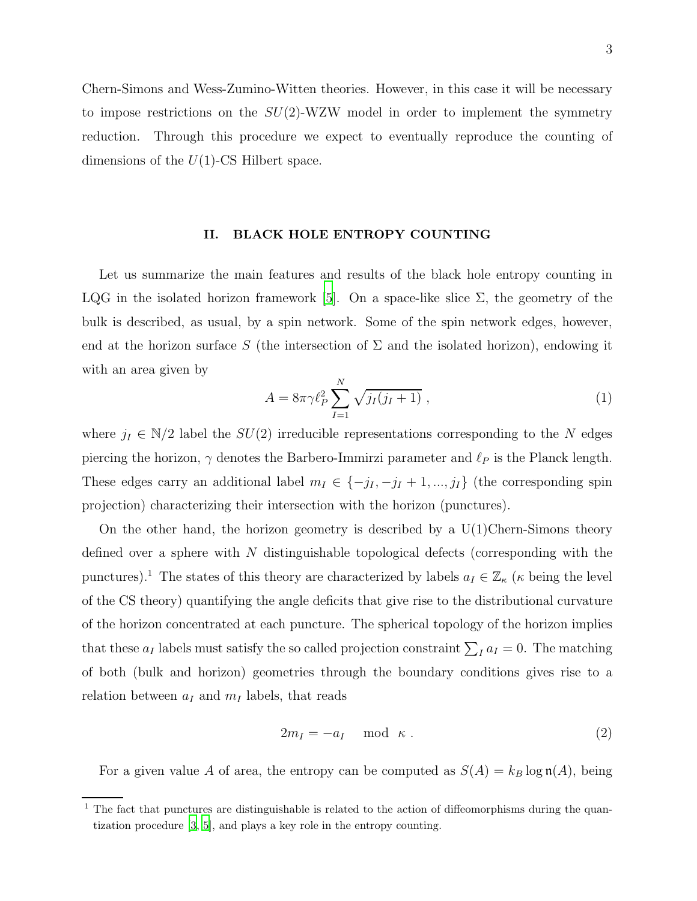Chern-Simons and Wess-Zumino-Witten theories. However, in this case it will be necessary to impose restrictions on the  $SU(2)$ -WZW model in order to implement the symmetry reduction. Through this procedure we expect to eventually reproduce the counting of dimensions of the  $U(1)$ -CS Hilbert space.

#### II. BLACK HOLE ENTROPY COUNTING

Let us summarize the main features and results of the black hole entropy counting in LQG in the isolated horizon framework [\[5](#page-9-4)]. On a space-like slice  $\Sigma$ , the geometry of the bulk is described, as usual, by a spin network. Some of the spin network edges, however, end at the horizon surface S (the intersection of  $\Sigma$  and the isolated horizon), endowing it with an area given by

$$
A = 8\pi \gamma \ell_P^2 \sum_{I=1}^N \sqrt{j_I(j_I+1)} , \qquad (1)
$$

where  $j_I \in N/2$  label the  $SU(2)$  irreducible representations corresponding to the N edges piercing the horizon,  $\gamma$  denotes the Barbero-Immirzi parameter and  $\ell_P$  is the Planck length. These edges carry an additional label  $m_I \in \{-j_I, -j_I + 1, ..., j_I\}$  (the corresponding spin projection) characterizing their intersection with the horizon (punctures).

On the other hand, the horizon geometry is described by a  $U(1)$ Chern-Simons theory defined over a sphere with  $N$  distinguishable topological defects (corresponding with the punctures).<sup>1</sup> The states of this theory are characterized by labels  $a_I \in \mathbb{Z}_\kappa$  ( $\kappa$  being the level of the CS theory) quantifying the angle deficits that give rise to the distributional curvature of the horizon concentrated at each puncture. The spherical topology of the horizon implies that these  $a_I$  labels must satisfy the so called projection constraint  $\sum_I a_I = 0$ . The matching of both (bulk and horizon) geometries through the boundary conditions gives rise to a relation between  $a_I$  and  $m_I$  labels, that reads

$$
2m_I = -a_I \mod \kappa . \tag{2}
$$

For a given value A of area, the entropy can be computed as  $S(A) = k_B \log \mathfrak{n}(A)$ , being

<sup>&</sup>lt;sup>1</sup> The fact that punctures are distinguishable is related to the action of diffeomorphisms during the quantization procedure [\[3,](#page-9-2) [5\]](#page-9-4), and plays a key role in the entropy counting.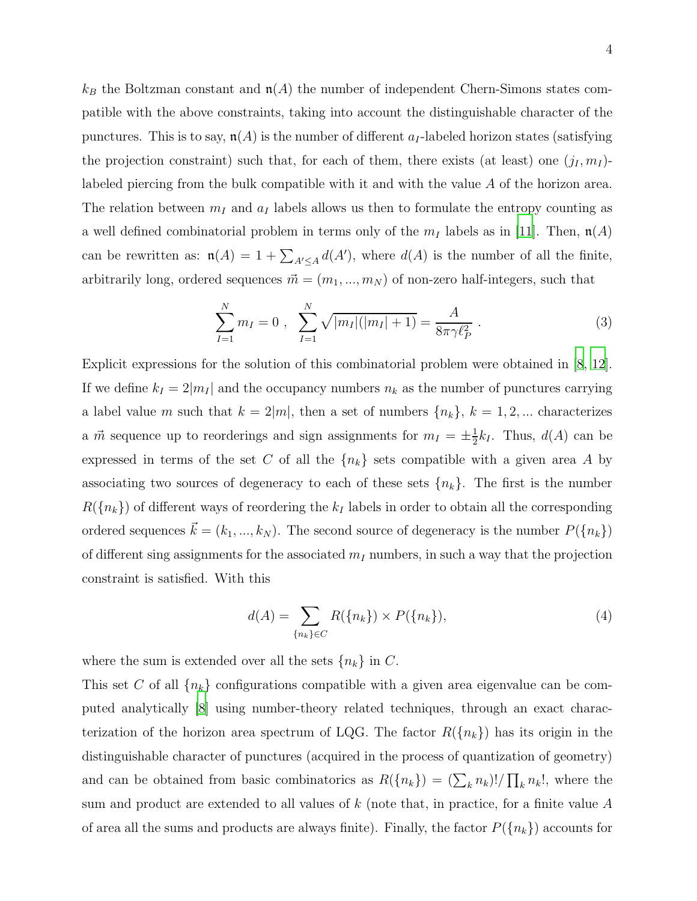$k_B$  the Boltzman constant and  $\mathfrak{n}(A)$  the number of independent Chern-Simons states compatible with the above constraints, taking into account the distinguishable character of the punctures. This is to say,  $\mathfrak{n}(A)$  is the number of different  $a_I$ -labeled horizon states (satisfying the projection constraint) such that, for each of them, there exists (at least) one  $(j_I, m_I)$ labeled piercing from the bulk compatible with it and with the value A of the horizon area. The relation between  $m_I$  and  $a_I$  labels allows us then to formulate the entropy counting as a well defined combinatorial problem in terms only of the  $m_I$  labels as in [\[11\]](#page-9-10). Then,  $\mathfrak{n}(A)$ can be rewritten as:  $\mathfrak{n}(A) = 1 + \sum_{A' \leq A} d(A')$ , where  $d(A)$  is the number of all the finite, arbitrarily long, ordered sequences  $\vec{m} = (m_1, ..., m_N)$  of non-zero half-integers, such that

$$
\sum_{I=1}^{N} m_I = 0 , \sum_{I=1}^{N} \sqrt{|m_I|(|m_I|+1)} = \frac{A}{8\pi \gamma \ell_P^2} . \tag{3}
$$

Explicit expressions for the solution of this combinatorial problem were obtained in [\[8,](#page-9-7) [12\]](#page-9-11). If we define  $k_I = 2|m_I|$  and the occupancy numbers  $n_k$  as the number of punctures carrying a label value m such that  $k = 2|m|$ , then a set of numbers  $\{n_k\}, k = 1, 2, ...$  characterizes a  $\vec{m}$  sequence up to reorderings and sign assignments for  $m_I = \pm \frac{1}{2}$  $\frac{1}{2}k_I$ . Thus,  $d(A)$  can be expressed in terms of the set C of all the  ${n_k}$  sets compatible with a given area A by associating two sources of degeneracy to each of these sets  ${n_k}$ . The first is the number  $R({n_k})$  of different ways of reordering the  $k_I$  labels in order to obtain all the corresponding ordered sequences  $\vec{k} = (k_1, ..., k_N)$ . The second source of degeneracy is the number  $P({n_k})$ of different sing assignments for the associated  $m_I$  numbers, in such a way that the projection constraint is satisfied. With this

$$
d(A) = \sum_{\{n_k\} \in C} R(\{n_k\}) \times P(\{n_k\}),\tag{4}
$$

where the sum is extended over all the sets  ${n_k}$  in C.

This set C of all  $\{n_k\}$  configurations compatible with a given area eigenvalue can be computed analytically [\[8](#page-9-7)] using number-theory related techniques, through an exact characterization of the horizon area spectrum of LQG. The factor  $R({n_k})$  has its origin in the distinguishable character of punctures (acquired in the process of quantization of geometry) and can be obtained from basic combinatorics as  $R({n_k}) = (\sum_k n_k)! / \prod_k n_k!$ , where the sum and product are extended to all values of  $k$  (note that, in practice, for a finite value  $A$ of area all the sums and products are always finite). Finally, the factor  $P({n_k})$  accounts for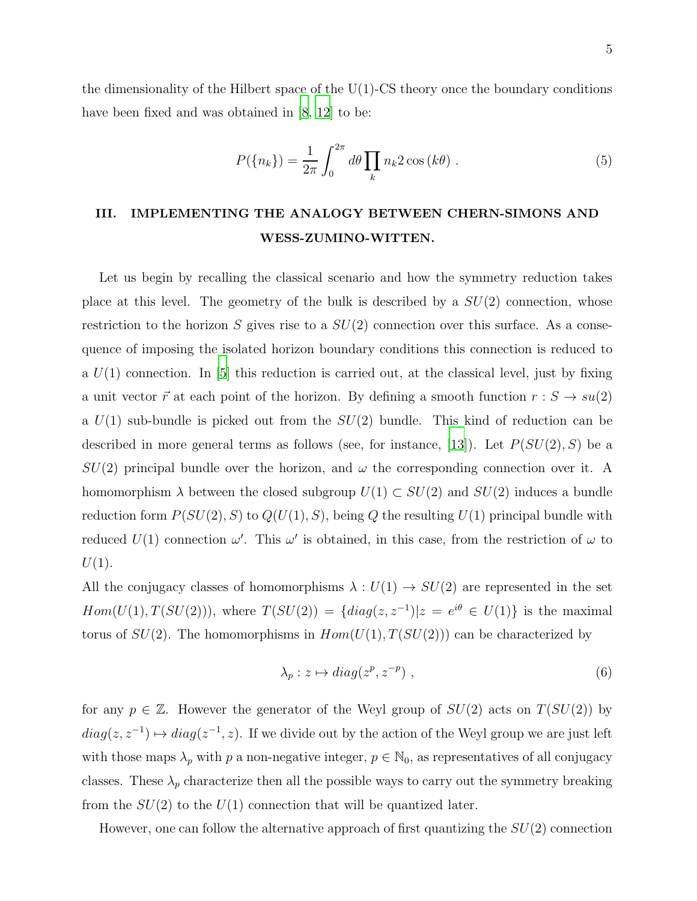the dimensionality of the Hilbert space of the  $U(1)$ -CS theory once the boundary conditions have been fixed and was obtained in [\[8](#page-9-7), [12\]](#page-9-11) to be:

<span id="page-5-0"></span>
$$
P(\lbrace n_k \rbrace) = \frac{1}{2\pi} \int_0^{2\pi} d\theta \prod_k n_k 2 \cos(k\theta).
$$
 (5)

### III. IMPLEMENTING THE ANALOGY BETWEEN CHERN-SIMONS AND WESS-ZUMINO-WITTEN.

Let us begin by recalling the classical scenario and how the symmetry reduction takes place at this level. The geometry of the bulk is described by a  $SU(2)$  connection, whose restriction to the horizon S gives rise to a  $SU(2)$  connection over this surface. As a consequence of imposing the isolated horizon boundary conditions this connection is reduced to a  $U(1)$  connection. In [\[5](#page-9-4)] this reduction is carried out, at the classical level, just by fixing a unit vector  $\vec{r}$  at each point of the horizon. By defining a smooth function  $r : S \to su(2)$ a  $U(1)$  sub-bundle is picked out from the  $SU(2)$  bundle. This kind of reduction can be described in more general terms as follows (see, for instance, [\[13\]](#page-9-12)). Let  $P(SU(2), S)$  be a  $SU(2)$  principal bundle over the horizon, and  $\omega$  the corresponding connection over it. A homomorphism  $\lambda$  between the closed subgroup  $U(1) \subset SU(2)$  and  $SU(2)$  induces a bundle reduction form  $P(SU(2), S)$  to  $Q(U(1), S)$ , being Q the resulting  $U(1)$  principal bundle with reduced  $U(1)$  connection  $\omega'$ . This  $\omega'$  is obtained, in this case, from the restriction of  $\omega$  to  $U(1)$ .

All the conjugacy classes of homomorphisms  $\lambda: U(1) \rightarrow SU(2)$  are represented in the set  $Hom(U(1), T(SU(2)))$ , where  $T(SU(2)) = \{diag(z, z^{-1}) | z = e^{i\theta} \in U(1) \}$  is the maximal torus of  $SU(2)$ . The homomorphisms in  $Hom(U(1), T(SU(2)))$  can be characterized by

$$
\lambda_p: z \mapsto diag(z^p, z^{-p}), \qquad (6)
$$

for any  $p \in \mathbb{Z}$ . However the generator of the Weyl group of  $SU(2)$  acts on  $T(SU(2))$  by  $diag(z, z^{-1}) \mapsto diag(z^{-1}, z)$ . If we divide out by the action of the Weyl group we are just left with those maps  $\lambda_p$  with p a non-negative integer,  $p \in \mathbb{N}_0$ , as representatives of all conjugacy classes. These  $\lambda_p$  characterize then all the possible ways to carry out the symmetry breaking from the  $SU(2)$  to the  $U(1)$  connection that will be quantized later.

However, one can follow the alternative approach of first quantizing the  $SU(2)$  connection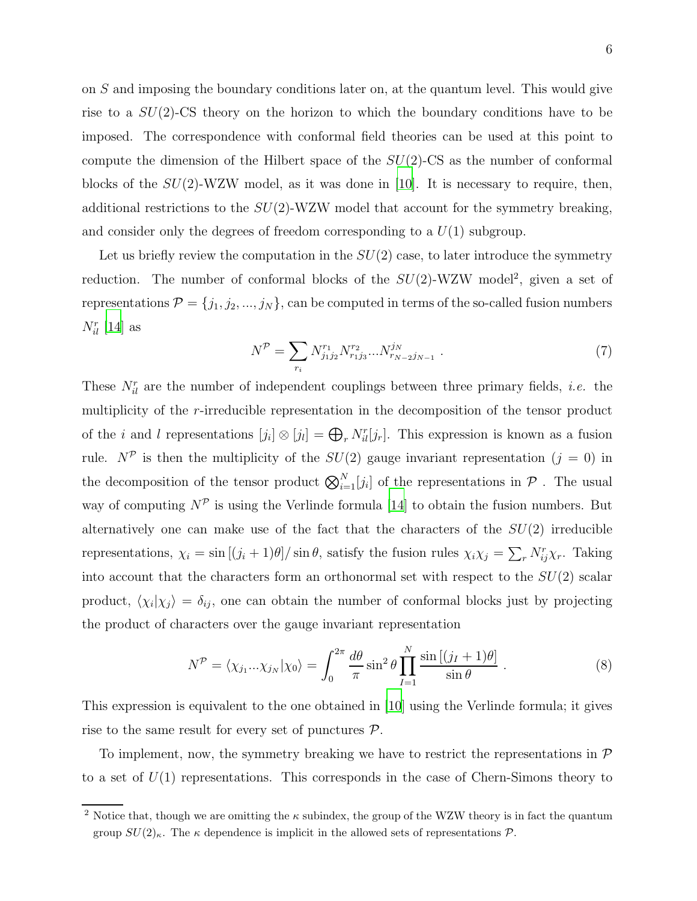on S and imposing the boundary conditions later on, at the quantum level. This would give rise to a  $SU(2)$ -CS theory on the horizon to which the boundary conditions have to be imposed. The correspondence with conformal field theories can be used at this point to compute the dimension of the Hilbert space of the  $SU(2)$ -CS as the number of conformal blocks of the  $SU(2)$ -WZW model, as it was done in [\[10\]](#page-9-9). It is necessary to require, then, additional restrictions to the  $SU(2)$ -WZW model that account for the symmetry breaking, and consider only the degrees of freedom corresponding to a  $U(1)$  subgroup.

Let us briefly review the computation in the  $SU(2)$  case, to later introduce the symmetry reduction. The number of conformal blocks of the  $SU(2)$ -WZW model<sup>2</sup>, given a set of representations  $\mathcal{P} = \{j_1, j_2, ..., j_N\}$ , can be computed in terms of the so-called fusion numbers  $N_{il}^r$  [\[14](#page-9-13)] as

$$
N^{\mathcal{P}} = \sum_{r_i} N_{j_1 j_2}^{r_1} N_{r_1 j_3}^{r_2} \dots N_{r_{N-2} j_{N-1}}^{j_N} \tag{7}
$$

These  $N_{il}^r$  are the number of independent couplings between three primary fields, *i.e.* the multiplicity of the r-irreducible representation in the decomposition of the tensor product of the *i* and *l* representations  $[j_i] \otimes [j_i] = \bigoplus_r N_{il}^r[j_r]$ . This expression is known as a fusion rule.  $N^{\mathcal{P}}$  is then the multiplicity of the  $SU(2)$  gauge invariant representation  $(j = 0)$  in the decomposition of the tensor product  $\bigotimes_{i=1}^{N} [j_i]$  of the representations in  $P$ . The usual way of computing  $N^{\mathcal{P}}$  is using the Verlinde formula [\[14\]](#page-9-13) to obtain the fusion numbers. But alternatively one can make use of the fact that the characters of the  $SU(2)$  irreducible representations,  $\chi_i = \sin[(j_i + 1)\theta]/\sin\theta$ , satisfy the fusion rules  $\chi_i\chi_j = \sum_r N^r_{ij}\chi_r$ . Taking into account that the characters form an orthonormal set with respect to the  $SU(2)$  scalar product,  $\langle \chi_i | \chi_j \rangle = \delta_{ij}$ , one can obtain the number of conformal blocks just by projecting the product of characters over the gauge invariant representation

$$
N^{\mathcal{P}} = \langle \chi_{j_1} \dots \chi_{j_N} | \chi_0 \rangle = \int_0^{2\pi} \frac{d\theta}{\pi} \sin^2 \theta \prod_{I=1}^N \frac{\sin \left[ (j_I + 1)\theta \right]}{\sin \theta} . \tag{8}
$$

This expression is equivalent to the one obtained in [\[10\]](#page-9-9) using the Verlinde formula; it gives rise to the same result for every set of punctures  $P$ .

To implement, now, the symmetry breaking we have to restrict the representations in  $\mathcal P$ to a set of  $U(1)$  representations. This corresponds in the case of Chern-Simons theory to

<sup>&</sup>lt;sup>2</sup> Notice that, though we are omitting the  $\kappa$  subindex, the group of the WZW theory is in fact the quantum group  $SU(2)_{\kappa}$ . The  $\kappa$  dependence is implicit in the allowed sets of representations  $\mathcal{P}$ .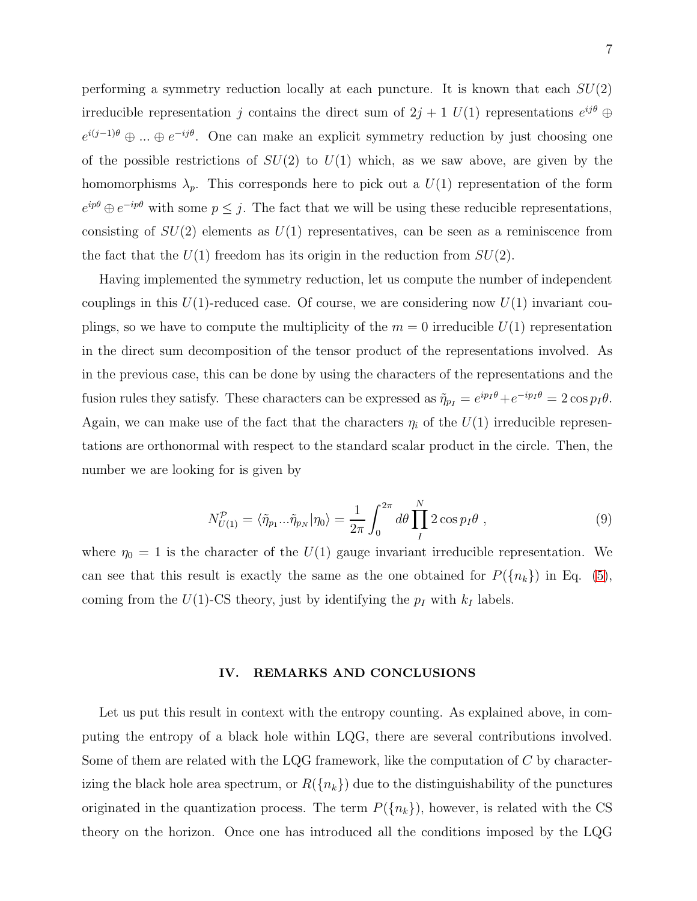performing a symmetry reduction locally at each puncture. It is known that each  $SU(2)$ irreducible representation j contains the direct sum of  $2j + 1$   $U(1)$  representations  $e^{ij\theta} \oplus$  $e^{i(j-1)\theta} \oplus ... \oplus e^{-ij\theta}$ . One can make an explicit symmetry reduction by just choosing one of the possible restrictions of  $SU(2)$  to  $U(1)$  which, as we saw above, are given by the homomorphisms  $\lambda_p$ . This corresponds here to pick out a  $U(1)$  representation of the form  $e^{ip\theta} \oplus e^{-ip\theta}$  with some  $p \leq j$ . The fact that we will be using these reducible representations, consisting of  $SU(2)$  elements as  $U(1)$  representatives, can be seen as a reminiscence from the fact that the  $U(1)$  freedom has its origin in the reduction from  $SU(2)$ .

Having implemented the symmetry reduction, let us compute the number of independent couplings in this  $U(1)$ -reduced case. Of course, we are considering now  $U(1)$  invariant couplings, so we have to compute the multiplicity of the  $m = 0$  irreducible  $U(1)$  representation in the direct sum decomposition of the tensor product of the representations involved. As in the previous case, this can be done by using the characters of the representations and the fusion rules they satisfy. These characters can be expressed as  $\tilde{\eta}_{pI} = e^{ip_I \theta} + e^{-ip_I \theta} = 2 \cos p_I \theta$ . Again, we can make use of the fact that the characters  $\eta_i$  of the  $U(1)$  irreducible representations are orthonormal with respect to the standard scalar product in the circle. Then, the number we are looking for is given by

$$
N_{U(1)}^{\mathcal{P}} = \langle \tilde{\eta}_{p_1} \dots \tilde{\eta}_{p_N} | \eta_0 \rangle = \frac{1}{2\pi} \int_0^{2\pi} d\theta \prod_I^N 2 \cos p_I \theta , \qquad (9)
$$

where  $\eta_0 = 1$  is the character of the  $U(1)$  gauge invariant irreducible representation. We can see that this result is exactly the same as the one obtained for  $P({n_k})$  in Eq. [\(5\)](#page-5-0), coming from the  $U(1)$ -CS theory, just by identifying the  $p_I$  with  $k_I$  labels.

#### IV. REMARKS AND CONCLUSIONS

Let us put this result in context with the entropy counting. As explained above, in computing the entropy of a black hole within LQG, there are several contributions involved. Some of them are related with the LQG framework, like the computation of C by characterizing the black hole area spectrum, or  $R({n_k})$  due to the distinguishability of the punctures originated in the quantization process. The term  $P({n_k})$ , however, is related with the CS theory on the horizon. Once one has introduced all the conditions imposed by the LQG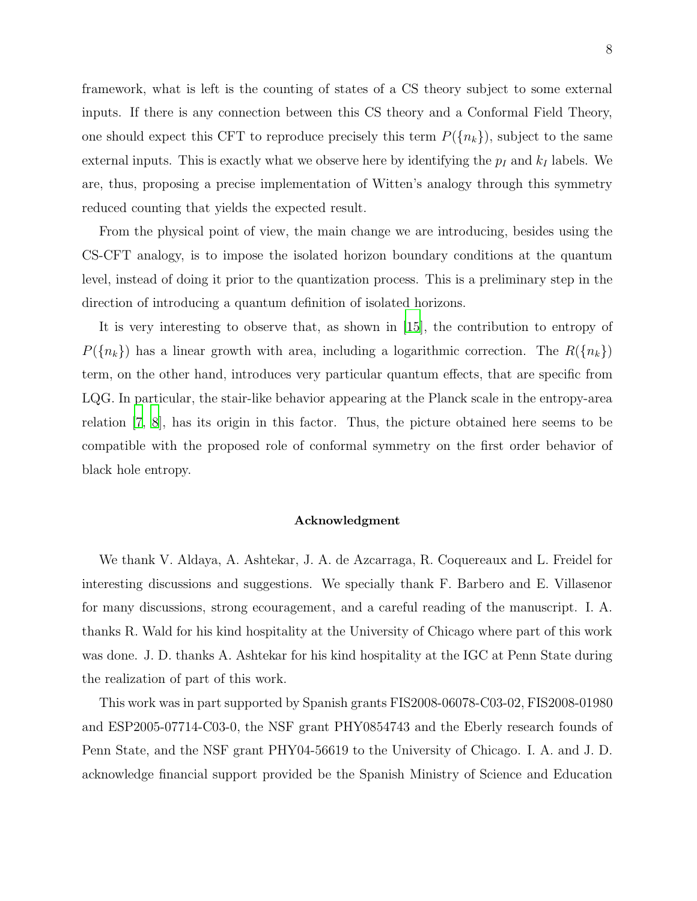framework, what is left is the counting of states of a CS theory subject to some external inputs. If there is any connection between this CS theory and a Conformal Field Theory, one should expect this CFT to reproduce precisely this term  $P({n_k})$ , subject to the same external inputs. This is exactly what we observe here by identifying the  $p_I$  and  $k_I$  labels. We are, thus, proposing a precise implementation of Witten's analogy through this symmetry reduced counting that yields the expected result.

From the physical point of view, the main change we are introducing, besides using the CS-CFT analogy, is to impose the isolated horizon boundary conditions at the quantum level, instead of doing it prior to the quantization process. This is a preliminary step in the direction of introducing a quantum definition of isolated horizons.

It is very interesting to observe that, as shown in [\[15](#page-9-14)], the contribution to entropy of  $P({n_k})$  has a linear growth with area, including a logarithmic correction. The  $R({n_k})$ term, on the other hand, introduces very particular quantum effects, that are specific from LQG. In particular, the stair-like behavior appearing at the Planck scale in the entropy-area relation [\[7](#page-9-6), [8](#page-9-7)], has its origin in this factor. Thus, the picture obtained here seems to be compatible with the proposed role of conformal symmetry on the first order behavior of black hole entropy.

#### Acknowledgment

We thank V. Aldaya, A. Ashtekar, J. A. de Azcarraga, R. Coquereaux and L. Freidel for interesting discussions and suggestions. We specially thank F. Barbero and E. Villasenor for many discussions, strong ecouragement, and a careful reading of the manuscript. I. A. thanks R. Wald for his kind hospitality at the University of Chicago where part of this work was done. J. D. thanks A. Ashtekar for his kind hospitality at the IGC at Penn State during the realization of part of this work.

This work was in part supported by Spanish grants FIS2008-06078-C03-02, FIS2008-01980 and ESP2005-07714-C03-0, the NSF grant PHY0854743 and the Eberly research founds of Penn State, and the NSF grant PHY04-56619 to the University of Chicago. I. A. and J. D. acknowledge financial support provided be the Spanish Ministry of Science and Education